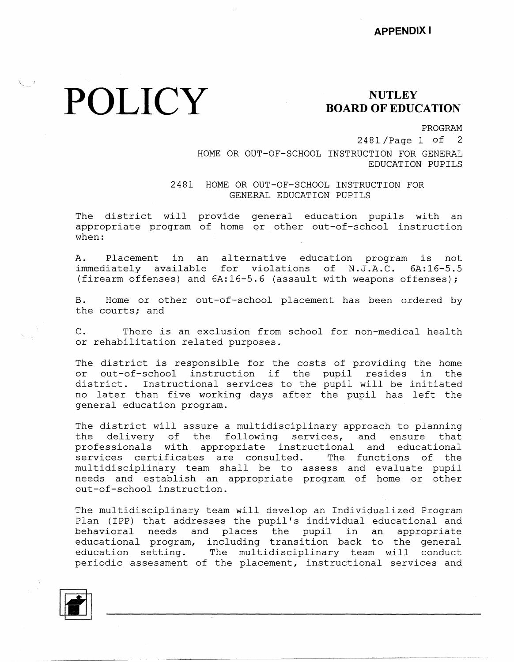## **POLICY** BOARD OF EDUC

 $\sqrt{2\pi}$ 

## **BOARD OF EDUCATION**

PROGRAM

2481 /Page 1 of 2 HOME OR OUT-OF-SCHOOL INSTRUCTION FOR GENERAL EDUCATION PUPILS

2481 HOME OR OUT-OF-SCHOOL INSTRUCTION FOR GENERAL EDUCATION PUPILS

The district will provide general education pupils with an appropriate program of home or other out-of-school instruct when:

A. Placement in an alternative education program is not immediately available for violations of N.J.A.C. 6A:16-5.5 (firearm offenses) and 6A:16-5.6 (assault with weapons offenses);

B. Home or other out-of-school placement has been ordered by the courts; and

C. There is an exclusion from school for non-medical health or rehabilitation related purposes.

The district is responsible for the costs of providing the home or out-of-school instruction if the pupil resides in the<br>district. Instructional services to the pupil will be initiated Instructional services to the pupil will be initiated no later than five working days after the pupil has left the general education program.

The district will assure a multidisciplinary approach to planning the delivery of the following services, and ensure that professionals with appropriate instructional and educational services certificates are consulted. The functions of the multidisciplinary team shall be to assess and evaluate pupil needs and establish an appropriate program of home or other out-of-school instruction.

The multidisciplinary team will develop an Individualized Program Plan (IPP) that addresses the pupil's individual educational and behavioral needs and places the pupil in an appropri educational program, including transition back to the genera education setting. The multidisciplinary team will conduct periodic assessment of the placement, instructional services and